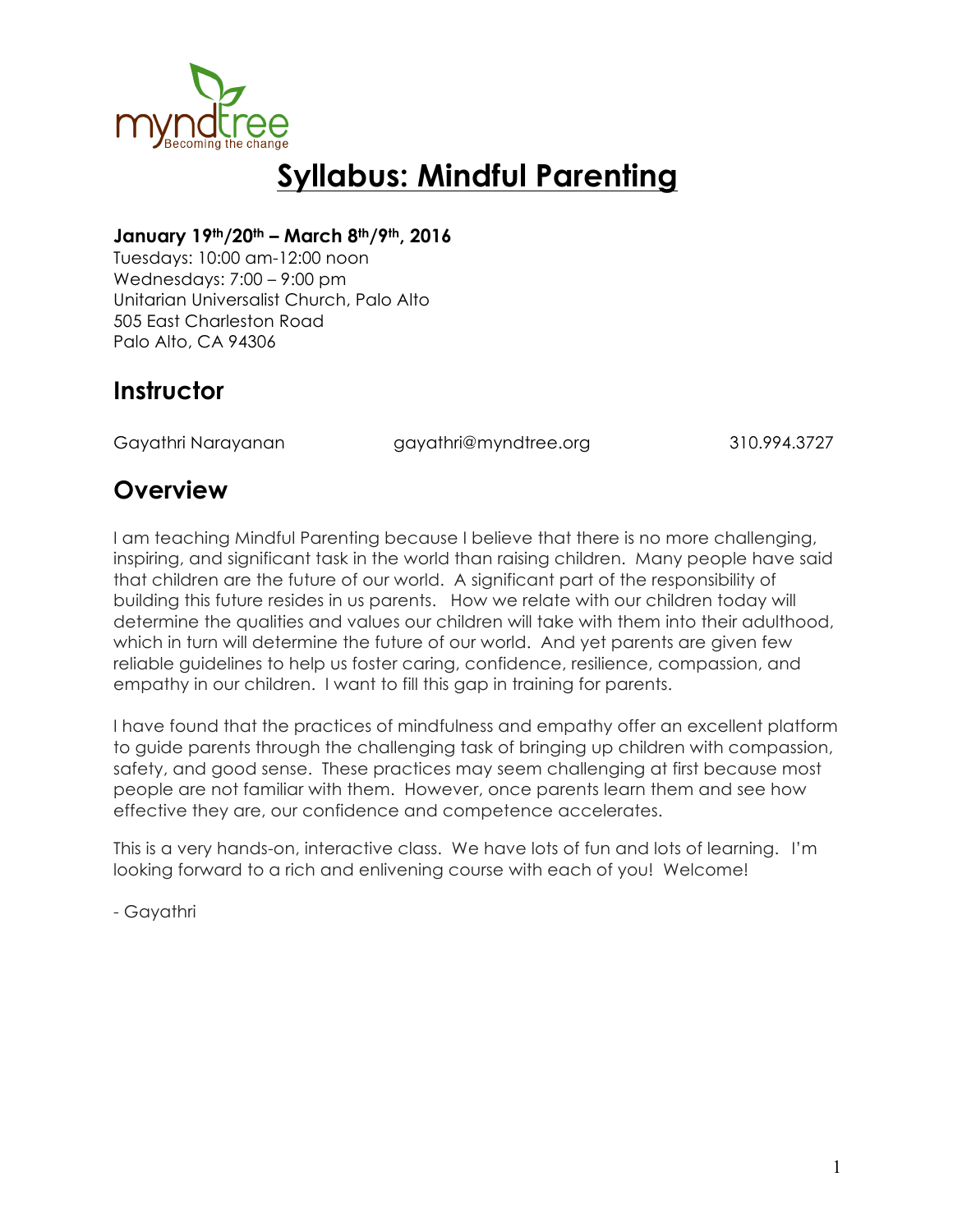

# **Syllabus: Mindful Parenting**

#### **January 19th/20th – March 8th/9th, 2016**

Tuesdays: 10:00 am-12:00 noon Wednesdays: 7:00 – 9:00 pm Unitarian Universalist Church, Palo Alto 505 East Charleston Road Palo Alto, CA 94306

### **Instructor**

Gayathri Narayanan gayathri@myndtree.org 310.994.3727

### **Overview**

I am teaching Mindful Parenting because I believe that there is no more challenging, inspiring, and significant task in the world than raising children. Many people have said that children are the future of our world. A significant part of the responsibility of building this future resides in us parents. How we relate with our children today will determine the qualities and values our children will take with them into their adulthood, which in turn will determine the future of our world. And yet parents are given few reliable guidelines to help us foster caring, confidence, resilience, compassion, and empathy in our children. I want to fill this gap in training for parents.

I have found that the practices of mindfulness and empathy offer an excellent platform to guide parents through the challenging task of bringing up children with compassion, safety, and good sense. These practices may seem challenging at first because most people are not familiar with them. However, once parents learn them and see how effective they are, our confidence and competence accelerates.

This is a very hands-on, interactive class. We have lots of fun and lots of learning. I'm looking forward to a rich and enlivening course with each of you! Welcome!

- Gayathri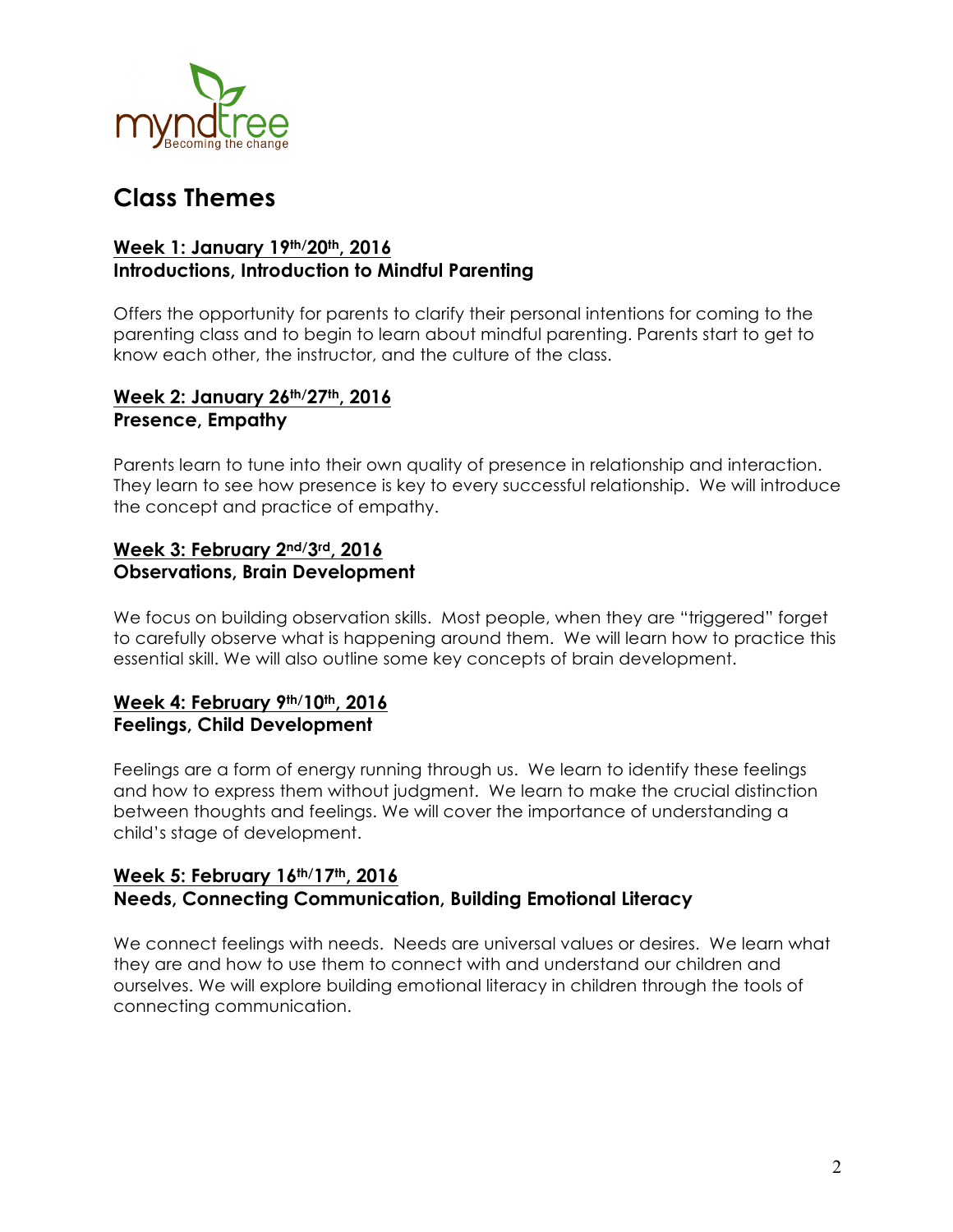

## **Class Themes**

#### **Week 1: January 19th/20th, 2016 Introductions, Introduction to Mindful Parenting**

Offers the opportunity for parents to clarify their personal intentions for coming to the parenting class and to begin to learn about mindful parenting. Parents start to get to know each other, the instructor, and the culture of the class.

#### **Week 2: January 26th/27th, 2016 Presence, Empathy**

Parents learn to tune into their own quality of presence in relationship and interaction. They learn to see how presence is key to every successful relationship. We will introduce the concept and practice of empathy.

#### **Week 3: February 2nd/3rd, 2016 Observations, Brain Development**

We focus on building observation skills. Most people, when they are "triggered" forget to carefully observe what is happening around them. We will learn how to practice this essential skill. We will also outline some key concepts of brain development.

#### **Week 4: February 9th/10th, 2016 Feelings, Child Development**

Feelings are a form of energy running through us. We learn to identify these feelings and how to express them without judgment. We learn to make the crucial distinction between thoughts and feelings. We will cover the importance of understanding a child's stage of development.

#### **Week 5: February 16th/17th, 2016 Needs, Connecting Communication, Building Emotional Literacy**

We connect feelings with needs. Needs are universal values or desires. We learn what they are and how to use them to connect with and understand our children and ourselves. We will explore building emotional literacy in children through the tools of connecting communication.